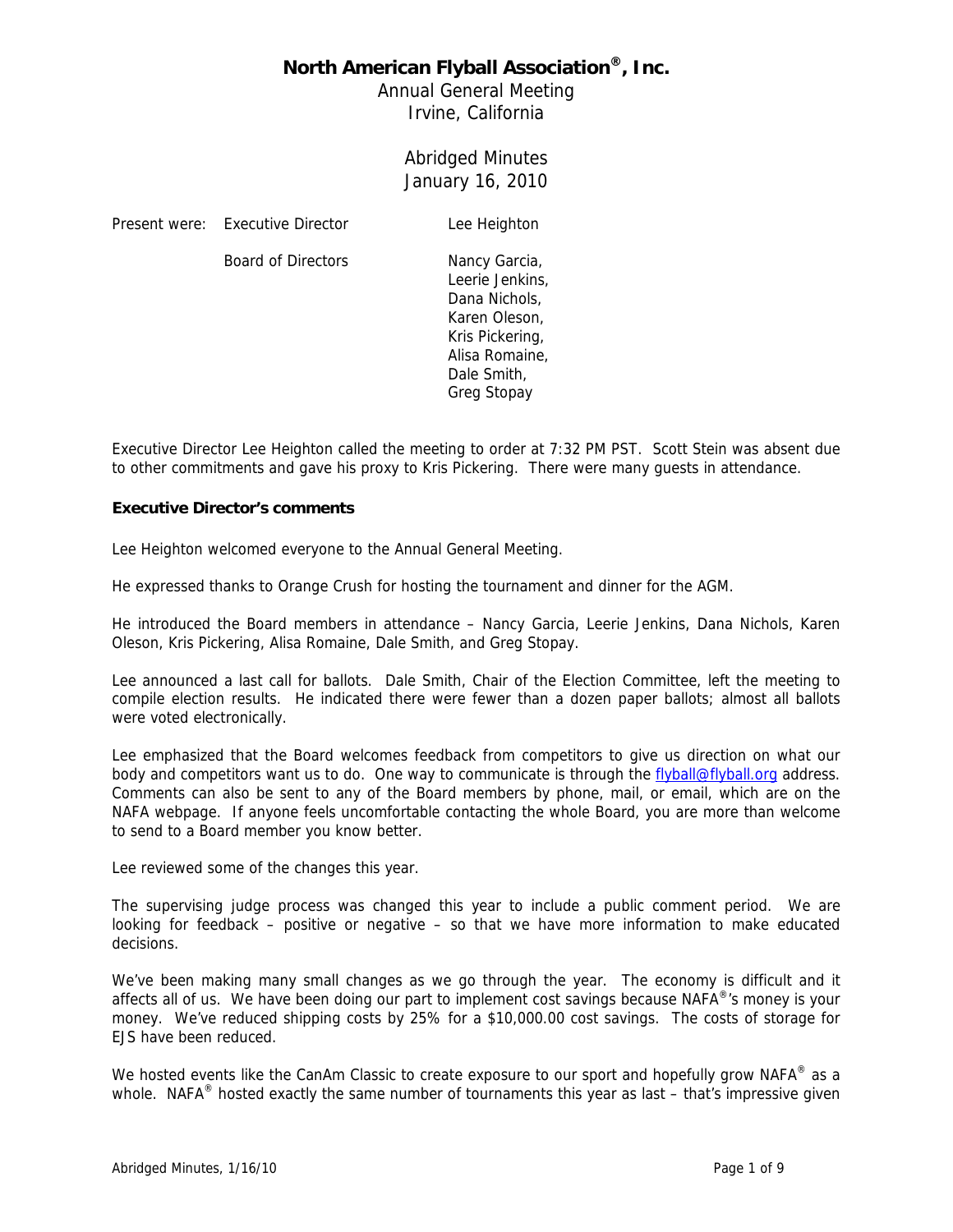Annual General Meeting Irvine, California

> Abridged Minutes January 16, 2010

Present were: Executive Director Lee Heighton

Board of Directors Nancy Garcia,

Leerie Jenkins, Dana Nichols, Karen Oleson, Kris Pickering, Alisa Romaine, Dale Smith, Greg Stopay

Executive Director Lee Heighton called the meeting to order at 7:32 PM PST. Scott Stein was absent due to other commitments and gave his proxy to Kris Pickering. There were many guests in attendance.

#### **Executive Director's comments**

Lee Heighton welcomed everyone to the Annual General Meeting.

He expressed thanks to Orange Crush for hosting the tournament and dinner for the AGM.

He introduced the Board members in attendance – Nancy Garcia, Leerie Jenkins, Dana Nichols, Karen Oleson, Kris Pickering, Alisa Romaine, Dale Smith, and Greg Stopay.

Lee announced a last call for ballots. Dale Smith, Chair of the Election Committee, left the meeting to compile election results. He indicated there were fewer than a dozen paper ballots; almost all ballots were voted electronically.

Lee emphasized that the Board welcomes feedback from competitors to give us direction on what our body and competitors want us to do. One way to communicate is through the flyball@flyball.org address. Comments can also be sent to any of the Board members by phone, mail, or email, which are on the NAFA webpage. If anyone feels uncomfortable contacting the whole Board, you are more than welcome to send to a Board member you know better.

Lee reviewed some of the changes this year.

The supervising judge process was changed this year to include a public comment period. We are looking for feedback – positive or negative – so that we have more information to make educated decisions.

We've been making many small changes as we go through the year. The economy is difficult and it affects all of us. We have been doing our part to implement cost savings because NAFA<sup>®</sup>'s money is your money. We've reduced shipping costs by 25% for a \$10,000.00 cost savings. The costs of storage for EJS have been reduced.

We hosted events like the CanAm Classic to create exposure to our sport and hopefully grow NAFA<sup>®</sup> as a whole. NAFA<sup>®</sup> hosted exactly the same number of tournaments this year as last – that's impressive given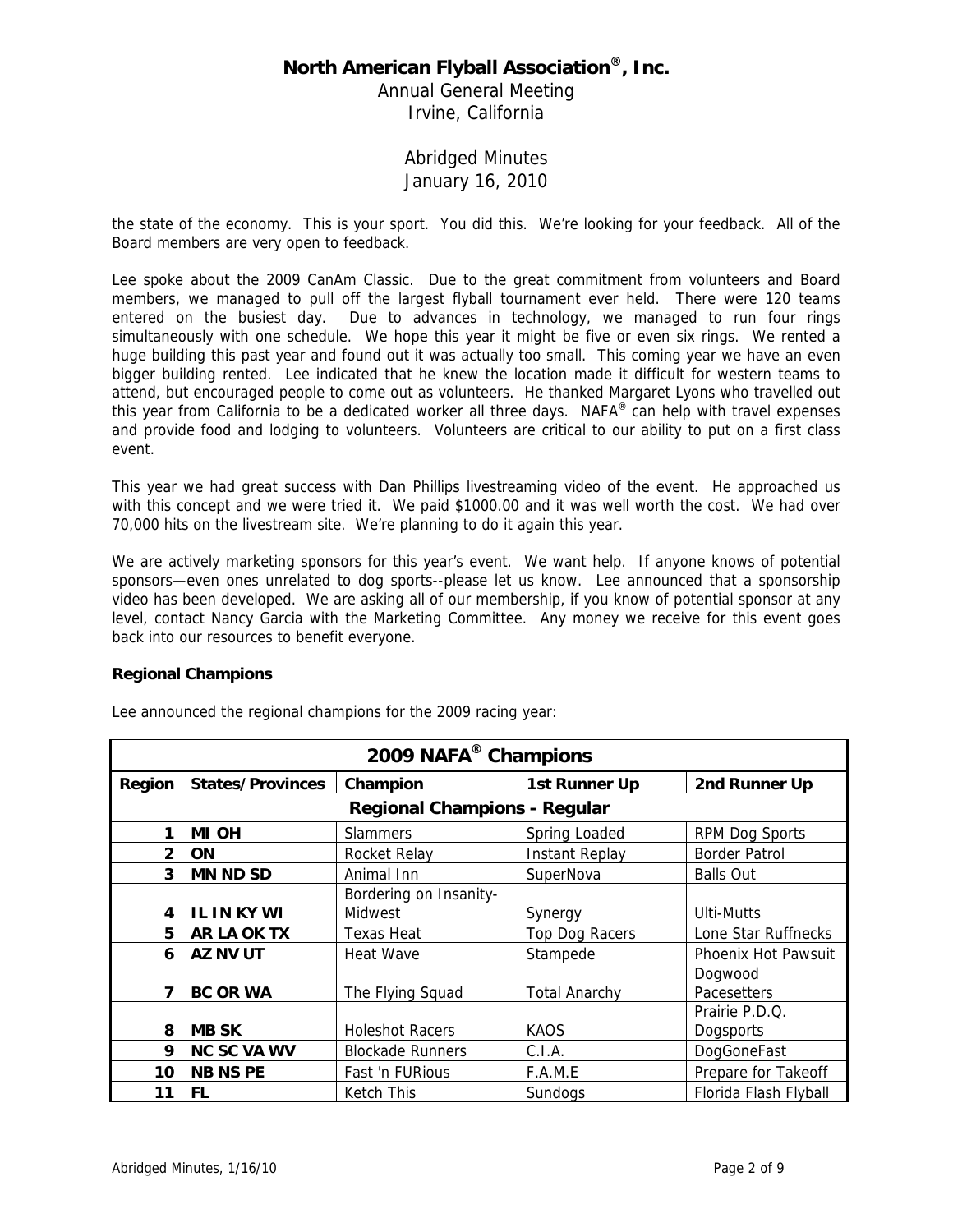Annual General Meeting Irvine, California

### Abridged Minutes January 16, 2010

the state of the economy. This is your sport. You did this. We're looking for your feedback. All of the Board members are very open to feedback.

Lee spoke about the 2009 CanAm Classic. Due to the great commitment from volunteers and Board members, we managed to pull off the largest flyball tournament ever held. There were 120 teams entered on the busiest day. Due to advances in technology, we managed to run four rings simultaneously with one schedule. We hope this year it might be five or even six rings. We rented a huge building this past year and found out it was actually too small. This coming year we have an even bigger building rented. Lee indicated that he knew the location made it difficult for western teams to attend, but encouraged people to come out as volunteers. He thanked Margaret Lyons who travelled out this year from California to be a dedicated worker all three days. NAFA® can help with travel expenses and provide food and lodging to volunteers. Volunteers are critical to our ability to put on a first class event.

This year we had great success with Dan Phillips livestreaming video of the event. He approached us with this concept and we were tried it. We paid \$1000.00 and it was well worth the cost. We had over 70,000 hits on the livestream site. We're planning to do it again this year.

We are actively marketing sponsors for this year's event. We want help. If anyone knows of potential sponsors—even ones unrelated to dog sports--please let us know. Lee announced that a sponsorship video has been developed. We are asking all of our membership, if you know of potential sponsor at any level, contact Nancy Garcia with the Marketing Committee. Any money we receive for this event goes back into our resources to benefit everyone.

#### **Regional Champions**

| 2009 NAFA <sup>®</sup> Champions    |                         |                         |                       |                            |  |  |
|-------------------------------------|-------------------------|-------------------------|-----------------------|----------------------------|--|--|
| Region                              | <b>States/Provinces</b> | Champion                | 1st Runner Up         | 2nd Runner Up              |  |  |
| <b>Regional Champions - Regular</b> |                         |                         |                       |                            |  |  |
| 1                                   | MI OH                   | <b>Slammers</b>         | Spring Loaded         | RPM Dog Sports             |  |  |
| $\overline{2}$                      | <b>ON</b>               | <b>Rocket Relay</b>     | <b>Instant Replay</b> | <b>Border Patrol</b>       |  |  |
| 3                                   | <b>MN ND SD</b>         | Animal Inn              | SuperNova             | <b>Balls Out</b>           |  |  |
|                                     |                         | Bordering on Insanity-  |                       |                            |  |  |
| 4                                   | <b>IL IN KY WI</b>      | Midwest                 | Synergy               | <b>Ulti-Mutts</b>          |  |  |
| 5                                   | <b>AR LA OK TX</b>      | <b>Texas Heat</b>       | Top Dog Racers        | Lone Star Ruffnecks        |  |  |
| 6                                   | AZ NV UT                | <b>Heat Wave</b>        | Stampede              | <b>Phoenix Hot Pawsuit</b> |  |  |
|                                     |                         |                         |                       | Dogwood                    |  |  |
| 7                                   | <b>BC OR WA</b>         | The Flying Squad        | <b>Total Anarchy</b>  | Pacesetters                |  |  |
|                                     |                         |                         |                       | Prairie P.D.Q.             |  |  |
| 8                                   | <b>MB SK</b>            | <b>Holeshot Racers</b>  | <b>KAOS</b>           | <b>Dogsports</b>           |  |  |
| 9                                   | <b>NC SC VA WV</b>      | <b>Blockade Runners</b> | C.I.A.                | DogGoneFast                |  |  |
| 10                                  | <b>NB NS PE</b>         | Fast 'n FURious         | F.A.M.E               | Prepare for Takeoff        |  |  |
| 11                                  | FL.                     | Ketch This              | Sundogs               | Florida Flash Flyball      |  |  |

Lee announced the regional champions for the 2009 racing year: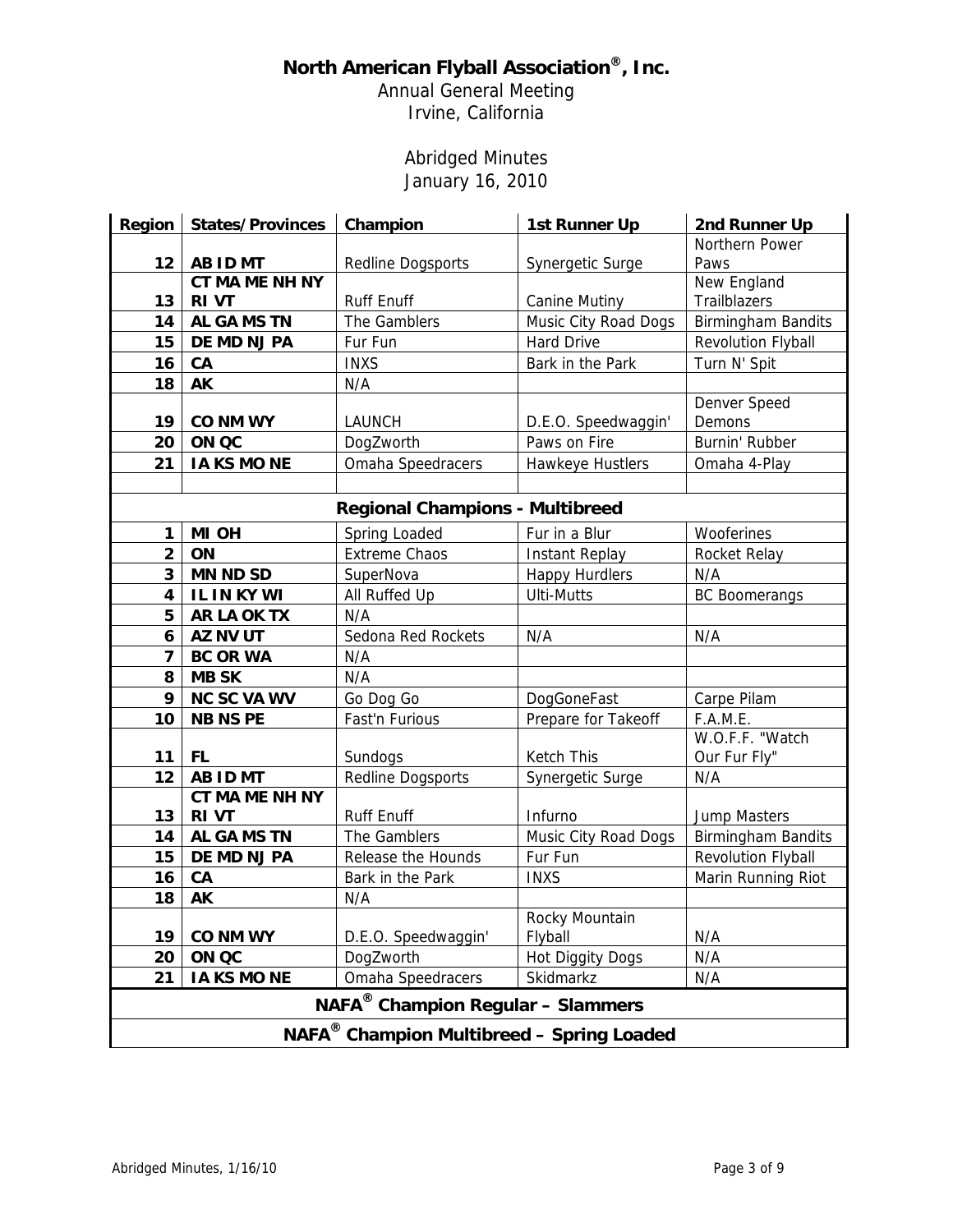Annual General Meeting Irvine, California

# Abridged Minutes January 16, 2010

| <b>Region</b>                                         | <b>States/Provinces</b> | Champion                 | 1st Runner Up           | 2nd Runner Up             |  |  |
|-------------------------------------------------------|-------------------------|--------------------------|-------------------------|---------------------------|--|--|
|                                                       |                         |                          |                         | Northern Power            |  |  |
| 12                                                    | <b>AB ID MT</b>         | Redline Dogsports        | Synergetic Surge        | Paws                      |  |  |
|                                                       | CT MA ME NH NY          |                          |                         | New England               |  |  |
| 13                                                    | <b>RIVT</b>             | <b>Ruff Enuff</b>        | <b>Canine Mutiny</b>    | Trailblazers              |  |  |
| 14                                                    | AL GA MS TN             | The Gamblers             | Music City Road Dogs    | <b>Birmingham Bandits</b> |  |  |
| 15                                                    | DE MD NJ PA             | Fur Fun                  | Hard Drive              | Revolution Flyball        |  |  |
| 16                                                    | CA                      | <b>INXS</b>              | Bark in the Park        | Turn N' Spit              |  |  |
| 18                                                    | AK                      | N/A                      |                         |                           |  |  |
|                                                       |                         |                          |                         | Denver Speed              |  |  |
| 19                                                    | <b>CO NM WY</b>         | <b>LAUNCH</b>            | D.E.O. Speedwaggin'     | Demons                    |  |  |
| 20                                                    | ON QC                   | DogZworth                | Paws on Fire            | Burnin' Rubber            |  |  |
| 21                                                    | <b>IA KS MO NE</b>      | Omaha Speedracers        | Hawkeye Hustlers        | Omaha 4-Play              |  |  |
|                                                       |                         |                          |                         |                           |  |  |
| <b>Regional Champions - Multibreed</b>                |                         |                          |                         |                           |  |  |
| 1                                                     | MI OH                   | Spring Loaded            | Fur in a Blur           | Wooferines                |  |  |
| $\overline{2}$                                        | ON                      | Extreme Chaos            | <b>Instant Replay</b>   | Rocket Relay              |  |  |
| 3                                                     | <b>MN ND SD</b>         | SuperNova                | <b>Happy Hurdlers</b>   | N/A                       |  |  |
| 4                                                     | IL IN KY WI             | All Ruffed Up            | <b>Ulti-Mutts</b>       | <b>BC Boomerangs</b>      |  |  |
| 5                                                     | <b>AR LA OK TX</b>      | N/A                      |                         |                           |  |  |
| 6                                                     | AZ NV UT                | Sedona Red Rockets       | N/A                     | N/A                       |  |  |
| 7                                                     | <b>BC OR WA</b>         | N/A                      |                         |                           |  |  |
| 8                                                     | <b>MB SK</b>            | N/A                      |                         |                           |  |  |
| 9                                                     | <b>NC SC VA WV</b>      | Go Dog Go                | DogGoneFast             | Carpe Pilam               |  |  |
| 10                                                    | <b>NB NS PE</b>         | Fast'n Furious           | Prepare for Takeoff     | F.A.M.E.                  |  |  |
|                                                       |                         |                          |                         | W.O.F.F. "Watch           |  |  |
| 11                                                    | <b>FL</b>               | Sundogs                  | Ketch This              | Our Fur Fly"              |  |  |
| 12                                                    | AB ID MT                | <b>Redline Dogsports</b> | Synergetic Surge        | N/A                       |  |  |
|                                                       | <b>CT MA ME NH NY</b>   |                          |                         |                           |  |  |
| 13                                                    | <b>RIVT</b>             | Ruff Enuff               | Infurno                 | <b>Jump Masters</b>       |  |  |
| 14                                                    | <b>AL GA MS TN</b>      | The Gamblers             | Music City Road Dogs    | <b>Birmingham Bandits</b> |  |  |
| 15                                                    | DE MD NJ PA             | Release the Hounds       | Fur Fun                 | Revolution Flyball        |  |  |
| 16                                                    | CA                      | Bark in the Park         | <b>INXS</b>             | Marin Running Riot        |  |  |
| 18                                                    | AK                      | N/A                      |                         |                           |  |  |
|                                                       |                         |                          | Rocky Mountain          |                           |  |  |
| 19                                                    | <b>CO NM WY</b>         | D.E.O. Speedwaggin'      | Flyball                 | N/A                       |  |  |
| 20                                                    | ON QC                   | DogZworth                | <b>Hot Diggity Dogs</b> | N/A                       |  |  |
| 21                                                    | <b>IA KS MO NE</b>      | Omaha Speedracers        | Skidmarkz               | N/A                       |  |  |
| NAFA <sup>®</sup> Champion Regular - Slammers         |                         |                          |                         |                           |  |  |
| NAFA <sup>®</sup> Champion Multibreed - Spring Loaded |                         |                          |                         |                           |  |  |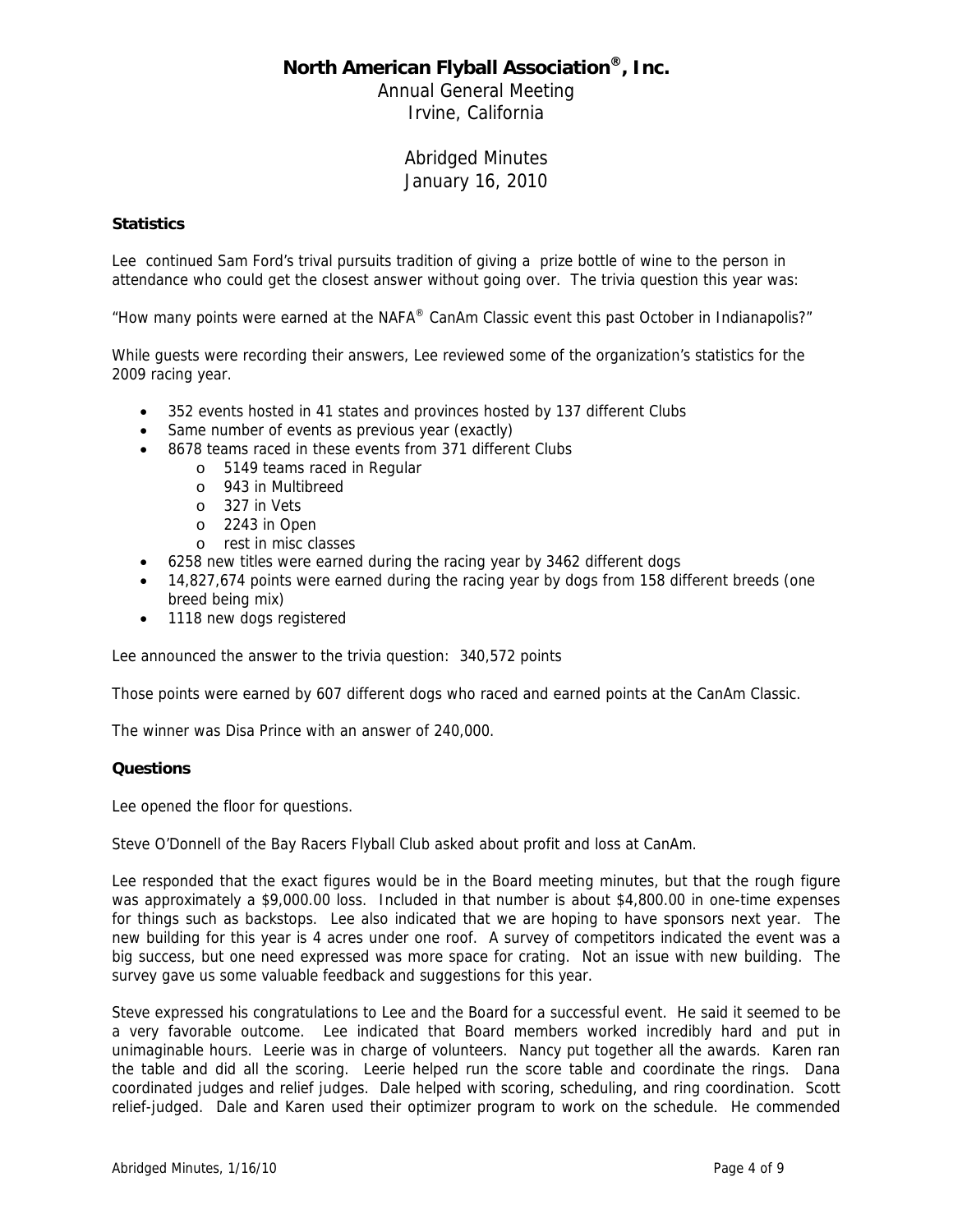Annual General Meeting Irvine, California

> Abridged Minutes January 16, 2010

#### **Statistics**

Lee continued Sam Ford's trival pursuits tradition of giving a prize bottle of wine to the person in attendance who could get the closest answer without going over. The trivia question this year was:

"How many points were earned at the NAFA® CanAm Classic event this past October in Indianapolis?"

While guests were recording their answers, Lee reviewed some of the organization's statistics for the 2009 racing year.

- 352 events hosted in 41 states and provinces hosted by 137 different Clubs
- Same number of events as previous year (exactly)
- 8678 teams raced in these events from 371 different Clubs
	- o 5149 teams raced in Regular
	- o 943 in Multibreed
	- o 327 in Vets
	- o 2243 in Open
	- o rest in misc classes
- 6258 new titles were earned during the racing year by 3462 different dogs
- 14,827,674 points were earned during the racing year by dogs from 158 different breeds (one breed being mix)
- 1118 new dogs registered

Lee announced the answer to the trivia question: 340,572 points

Those points were earned by 607 different dogs who raced and earned points at the CanAm Classic.

The winner was Disa Prince with an answer of 240,000.

#### **Questions**

Lee opened the floor for questions.

Steve O'Donnell of the Bay Racers Flyball Club asked about profit and loss at CanAm.

Lee responded that the exact figures would be in the Board meeting minutes, but that the rough figure was approximately a \$9,000.00 loss. Included in that number is about \$4,800.00 in one-time expenses for things such as backstops. Lee also indicated that we are hoping to have sponsors next year. The new building for this year is 4 acres under one roof. A survey of competitors indicated the event was a big success, but one need expressed was more space for crating. Not an issue with new building. The survey gave us some valuable feedback and suggestions for this year.

Steve expressed his congratulations to Lee and the Board for a successful event. He said it seemed to be a very favorable outcome. Lee indicated that Board members worked incredibly hard and put in unimaginable hours. Leerie was in charge of volunteers. Nancy put together all the awards. Karen ran the table and did all the scoring. Leerie helped run the score table and coordinate the rings. Dana coordinated judges and relief judges. Dale helped with scoring, scheduling, and ring coordination. Scott relief-judged. Dale and Karen used their optimizer program to work on the schedule. He commended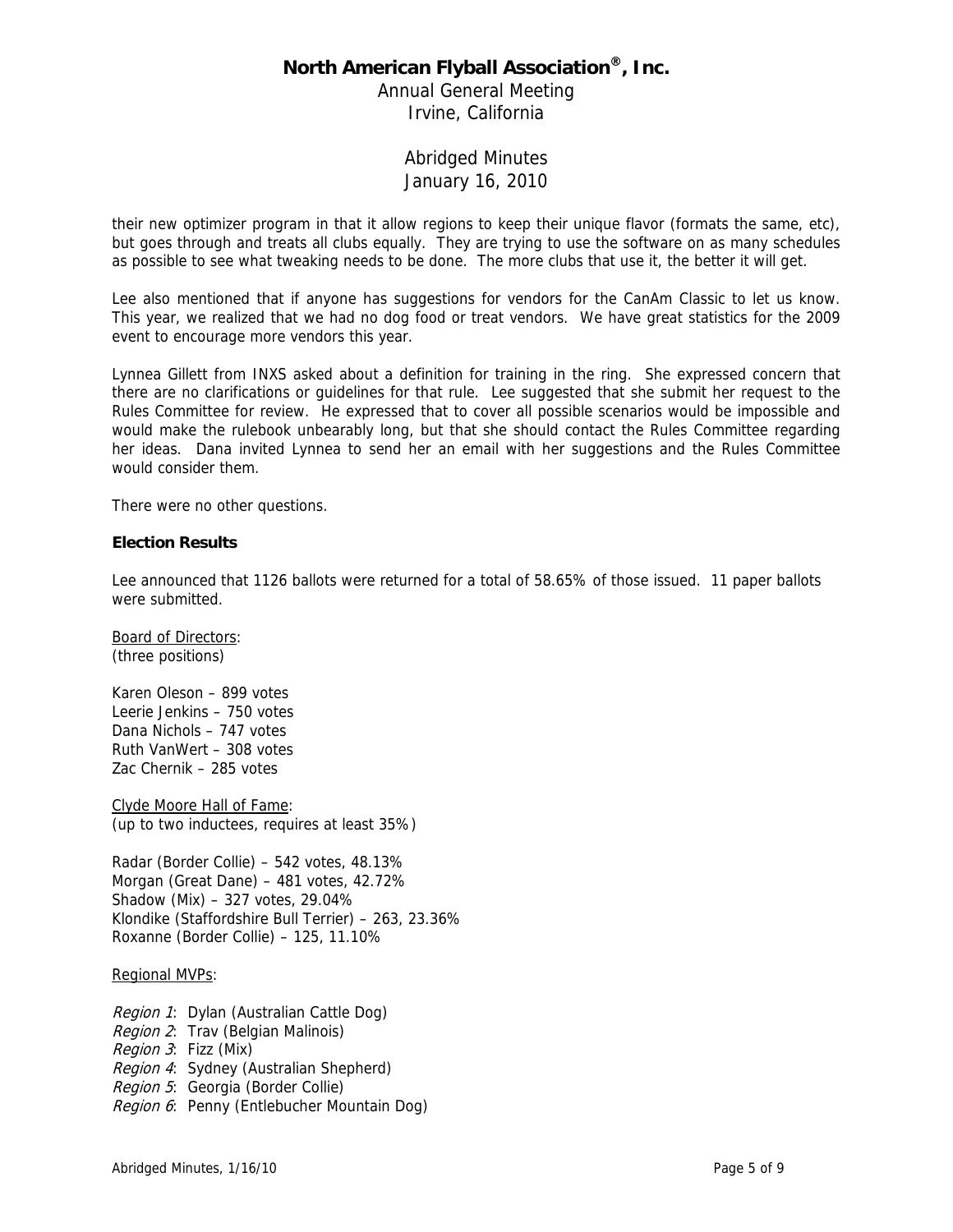Annual General Meeting Irvine, California

### Abridged Minutes January 16, 2010

their new optimizer program in that it allow regions to keep their unique flavor (formats the same, etc), but goes through and treats all clubs equally. They are trying to use the software on as many schedules as possible to see what tweaking needs to be done. The more clubs that use it, the better it will get.

Lee also mentioned that if anyone has suggestions for vendors for the CanAm Classic to let us know. This year, we realized that we had no dog food or treat vendors. We have great statistics for the 2009 event to encourage more vendors this year.

Lynnea Gillett from INXS asked about a definition for training in the ring. She expressed concern that there are no clarifications or guidelines for that rule. Lee suggested that she submit her request to the Rules Committee for review. He expressed that to cover all possible scenarios would be impossible and would make the rulebook unbearably long, but that she should contact the Rules Committee regarding her ideas. Dana invited Lynnea to send her an email with her suggestions and the Rules Committee would consider them.

There were no other questions.

#### **Election Results**

Lee announced that 1126 ballots were returned for a total of 58.65% of those issued. 11 paper ballots were submitted.

Board of Directors: (three positions)

Karen Oleson – 899 votes Leerie Jenkins – 750 votes Dana Nichols – 747 votes Ruth VanWert – 308 votes Zac Chernik – 285 votes

Clyde Moore Hall of Fame: (up to two inductees, requires at least 35%)

Radar (Border Collie) – 542 votes, 48.13% Morgan (Great Dane) – 481 votes, 42.72% Shadow (Mix) – 327 votes, 29.04% Klondike (Staffordshire Bull Terrier) – 263, 23.36% Roxanne (Border Collie) – 125, 11.10%

#### Regional MVPs:

Region 1: Dylan (Australian Cattle Dog) Region 2: Trav (Belgian Malinois) Region 3: Fizz (Mix) Region 4: Sydney (Australian Shepherd) Region 5: Georgia (Border Collie) Region 6: Penny (Entlebucher Mountain Dog)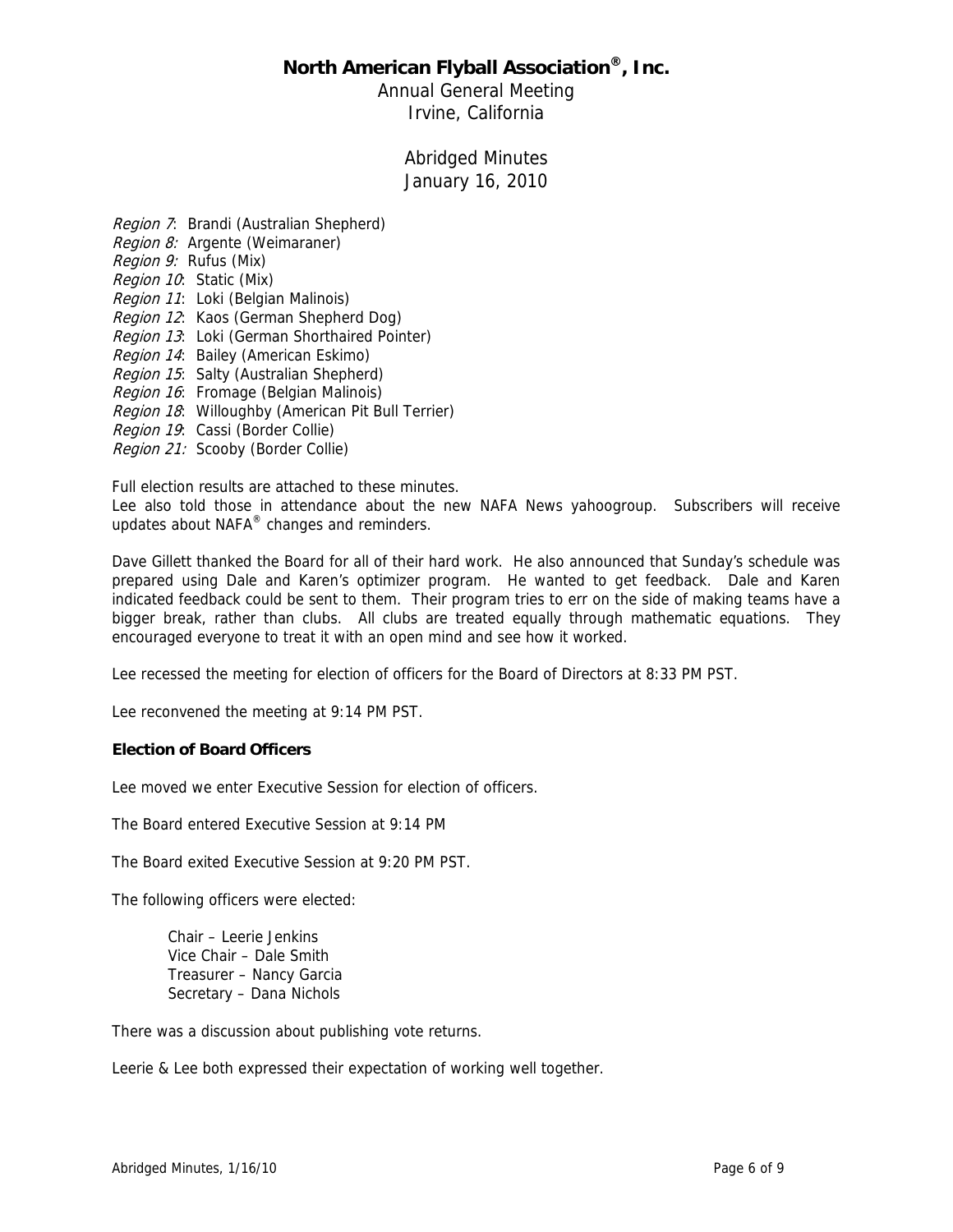Annual General Meeting Irvine, California

> Abridged Minutes January 16, 2010

Region 7: Brandi (Australian Shepherd) Region 8: Argente (Weimaraner) Region 9: Rufus (Mix) Region 10: Static (Mix) Region 11: Loki (Belgian Malinois) Region 12: Kaos (German Shepherd Dog) Region 13: Loki (German Shorthaired Pointer) Region 14: Bailey (American Eskimo) Region 15: Salty (Australian Shepherd) Region 16: Fromage (Belgian Malinois) Region 18: Willoughby (American Pit Bull Terrier) Region 19: Cassi (Border Collie) Region 21: Scooby (Border Collie)

Full election results are attached to these minutes.

Lee also told those in attendance about the new NAFA News yahoogroup. Subscribers will receive updates about NAFA® changes and reminders.

Dave Gillett thanked the Board for all of their hard work. He also announced that Sunday's schedule was prepared using Dale and Karen's optimizer program. He wanted to get feedback. Dale and Karen indicated feedback could be sent to them. Their program tries to err on the side of making teams have a bigger break, rather than clubs. All clubs are treated equally through mathematic equations. They encouraged everyone to treat it with an open mind and see how it worked.

Lee recessed the meeting for election of officers for the Board of Directors at 8:33 PM PST.

Lee reconvened the meeting at 9:14 PM PST.

#### **Election of Board Officers**

Lee moved we enter Executive Session for election of officers.

The Board entered Executive Session at 9:14 PM

The Board exited Executive Session at 9:20 PM PST.

The following officers were elected:

Chair – Leerie Jenkins Vice Chair – Dale Smith Treasurer – Nancy Garcia Secretary – Dana Nichols

There was a discussion about publishing vote returns.

Leerie & Lee both expressed their expectation of working well together.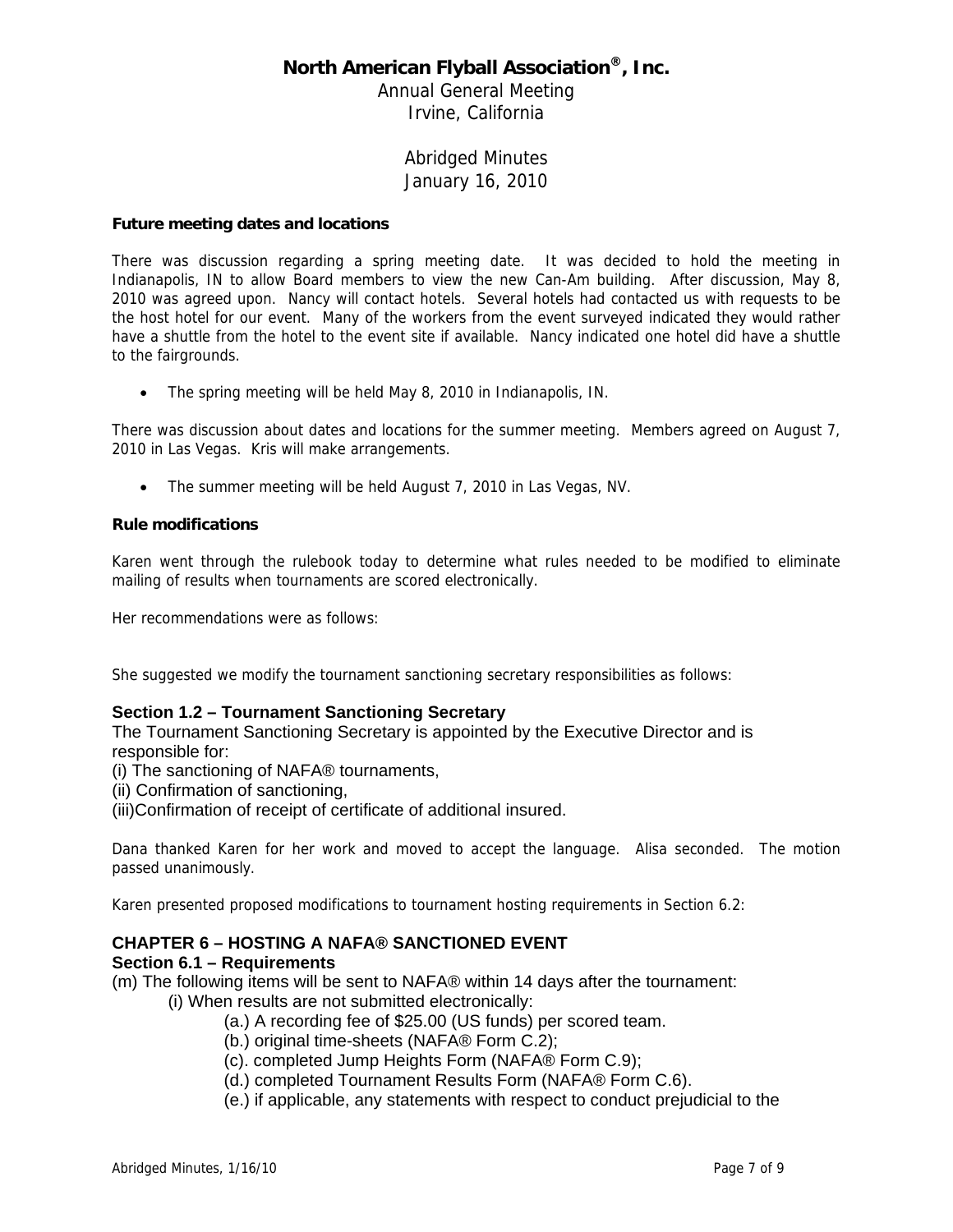Annual General Meeting Irvine, California

### Abridged Minutes January 16, 2010

#### **Future meeting dates and locations**

There was discussion regarding a spring meeting date. It was decided to hold the meeting in Indianapolis, IN to allow Board members to view the new Can-Am building. After discussion, May 8, 2010 was agreed upon. Nancy will contact hotels. Several hotels had contacted us with requests to be the host hotel for our event. Many of the workers from the event surveyed indicated they would rather have a shuttle from the hotel to the event site if available. Nancy indicated one hotel did have a shuttle to the fairgrounds.

• The spring meeting will be held May 8, 2010 in Indianapolis, IN.

There was discussion about dates and locations for the summer meeting. Members agreed on August 7, 2010 in Las Vegas. Kris will make arrangements.

The summer meeting will be held August 7, 2010 in Las Vegas, NV.

#### **Rule modifications**

Karen went through the rulebook today to determine what rules needed to be modified to eliminate mailing of results when tournaments are scored electronically.

Her recommendations were as follows:

She suggested we modify the tournament sanctioning secretary responsibilities as follows:

### **Section 1.2 – Tournament Sanctioning Secretary**

The Tournament Sanctioning Secretary is appointed by the Executive Director and is responsible for:

(i) The sanctioning of NAFA® tournaments,

(ii) Confirmation of sanctioning,

(iii)Confirmation of receipt of certificate of additional insured.

Dana thanked Karen for her work and moved to accept the language. Alisa seconded. The motion passed unanimously.

Karen presented proposed modifications to tournament hosting requirements in Section 6.2:

# **CHAPTER 6 – HOSTING A NAFA® SANCTIONED EVENT**

### **Section 6.1 – Requirements**

- (m) The following items will be sent to NAFA® within 14 days after the tournament:
	- (i) When results are not submitted electronically:
		- (a.) A recording fee of \$25.00 (US funds) per scored team.
		- (b.) original time-sheets (NAFA® Form C.2);
		- (c). completed Jump Heights Form (NAFA® Form C.9);
		- (d.) completed Tournament Results Form (NAFA® Form C.6).
		- (e.) if applicable, any statements with respect to conduct prejudicial to the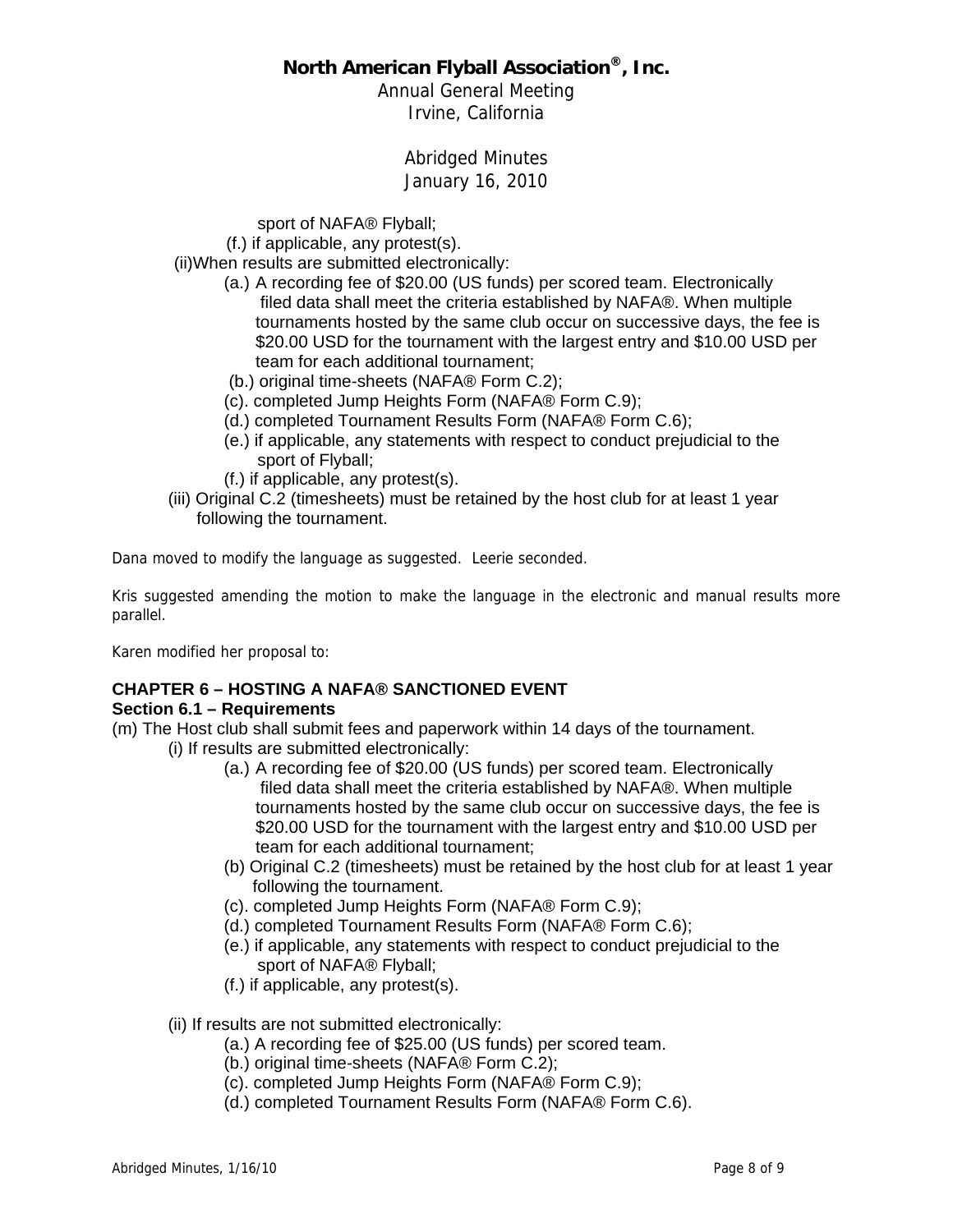Annual General Meeting Irvine, California

> Abridged Minutes January 16, 2010

sport of NAFA® Flyball;

(f.) if applicable, any protest(s).

(ii)When results are submitted electronically:

- (a.) A recording fee of \$20.00 (US funds) per scored team. Electronically filed data shall meet the criteria established by NAFA®. When multiple tournaments hosted by the same club occur on successive days, the fee is \$20.00 USD for the tournament with the largest entry and \$10.00 USD per team for each additional tournament;
- (b.) original time-sheets (NAFA® Form C.2);
- (c). completed Jump Heights Form (NAFA® Form C.9);
- (d.) completed Tournament Results Form (NAFA® Form C.6);
- (e.) if applicable, any statements with respect to conduct prejudicial to the sport of Flyball;
- (f.) if applicable, any protest(s).
- (iii) Original C.2 (timesheets) must be retained by the host club for at least 1 year following the tournament.

Dana moved to modify the language as suggested. Leerie seconded.

Kris suggested amending the motion to make the language in the electronic and manual results more parallel.

Karen modified her proposal to:

# **CHAPTER 6 – HOSTING A NAFA® SANCTIONED EVENT**

### **Section 6.1 – Requirements**

- (m) The Host club shall submit fees and paperwork within 14 days of the tournament.
	- (i) If results are submitted electronically:
		- (a.) A recording fee of \$20.00 (US funds) per scored team. Electronically filed data shall meet the criteria established by NAFA®. When multiple tournaments hosted by the same club occur on successive days, the fee is \$20.00 USD for the tournament with the largest entry and \$10.00 USD per team for each additional tournament;
		- (b) Original C.2 (timesheets) must be retained by the host club for at least 1 year following the tournament.
		- (c). completed Jump Heights Form (NAFA® Form C.9);
		- (d.) completed Tournament Results Form (NAFA® Form C.6);
		- (e.) if applicable, any statements with respect to conduct prejudicial to the sport of NAFA® Flyball;
		- (f.) if applicable, any protest(s).
		- (ii) If results are not submitted electronically:
			- (a.) A recording fee of \$25.00 (US funds) per scored team.
			- (b.) original time-sheets (NAFA® Form C.2);
			- (c). completed Jump Heights Form (NAFA® Form C.9);
			- (d.) completed Tournament Results Form (NAFA® Form C.6).